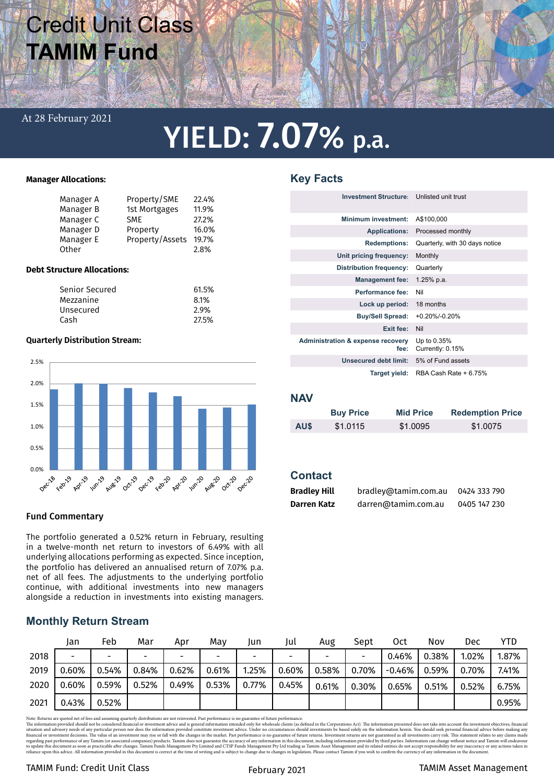## Credit Unit Class **TAMIM Fund**

### At 28 February 2021

# YIELD: 7.07% p.a.

**Key Facts**

### **Manager Allocations:**

| Manager A | Property/SME    | 22.4% |
|-----------|-----------------|-------|
|           |                 |       |
| Manager B | 1st Mortgages   | 11.9% |
| Manager C | <b>SME</b>      | 27.2% |
| Manager D | Property        | 16.0% |
| Manager E | Property/Assets | 19.7% |
| Other     |                 | 2.8%  |

### **Debt Structure Allocations:**

| Senior Secured | 61.5% |
|----------------|-------|
| Mezzanine      | 8.1%  |
| Unsecured      | 2.9%  |
| Cash           | 27.5% |
|                |       |

### **Quarterly Distribution Stream:**



### Fund Commentary

The portfolio generated a 0.52% return in February, resulting in a twelve-month net return to investors of 6.49% with all underlying allocations performing as expected. Since inception, the portfolio has delivered an annualised return of 7.07% p.a. net of all fees. The adjustments to the underlying portfolio continue, with additional investments into new managers alongside a reduction in investments into existing managers.

### **Monthly Return Stream**

|      | Jan                      | Feb   | Mar                      | Apr   | Mav   | Jun   | Jul                      | Aug                      | Sept  | Oct.   | Nov   | Dec   | YTD   |
|------|--------------------------|-------|--------------------------|-------|-------|-------|--------------------------|--------------------------|-------|--------|-------|-------|-------|
| 2018 | $\overline{\phantom{0}}$ |       | $\overline{\phantom{0}}$ | -     | -     |       | $\overline{\phantom{a}}$ | $\overline{\phantom{0}}$ |       | 0.46%  | 0.38% | 1.02% | 1.87% |
| 2019 | 0.60%                    | 0.54% | 0.84%                    | 0.62% | 0.61% | 1.25% | 0.60%                    | 0.58%                    | 0.70% | -0.46% | 0.59% | 0.70% | 7.41% |
| 2020 | 0.60%                    | 0.59% | 0.52%                    | 0.49% | 0.53% | 0.77% | 0.45%                    | 0.61%                    | 0.30% | 0.65%  | 0.51% | 0.52% | 6.75% |
| 2021 | 0.43%                    | 0.52% |                          |       |       |       |                          |                          |       |        |       |       | 0.95% |

Note: Returns are quoted net of fees and assuming quarterly distributions are not reinvested. Past performance is no guarantee of future performance.

The information provided should not be considered financial or investment advice and is general information intended only for wholesale clients (as defined in the Corporations Act). The information presented does not take

### TAMIM Fund: Credit Unit Class TAMIM Asset Management

| <b>Investment Structure:</b> Unlisted unit trust     |                                 |
|------------------------------------------------------|---------------------------------|
| <b>Minimum investment:</b>                           | A\$100,000                      |
| <b>Applications:</b>                                 | Processed monthly               |
| <b>Redemptions:</b>                                  | Quarterly, with 30 days notice  |
| Unit pricing frequency:                              | Monthly                         |
| <b>Distribution frequency:</b>                       | Quarterly                       |
| <b>Management fee:</b>                               | $1.25%$ p.a.                    |
| Performance fee:                                     | Nil                             |
| Lock up period:                                      | 18 months                       |
| <b>Buy/Sell Spread:</b>                              | $+0.20\% - 0.20\%$              |
| Exit fee:                                            | Nil                             |
| <b>Administration &amp; expense recovery</b><br>fee: | Up to 0.35%<br>Currently: 0.15% |
| Unsecured debt limit:                                | 5% of Fund assets               |
| Target yield:                                        | RBA Cash Rate + 6.75%           |

### **NAV**

|      | <b>Buy Price</b> | <b>Mid Price</b> | <b>Redemption Price</b> |
|------|------------------|------------------|-------------------------|
| AU\$ | \$1,0115         | \$1,0095         | \$1.0075                |

### **Contact**

| <b>Bradley Hill</b> | bradley@tamim.com.au | 0424 333 790 |
|---------------------|----------------------|--------------|
| Darren Katz         | darren@tamim.com.au  | 0405 147 230 |